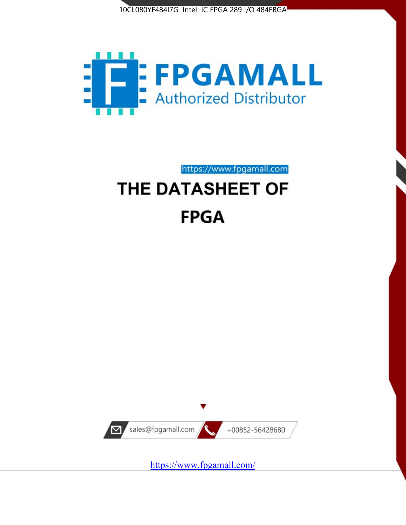



https://www.fpgamall.com

# THE DATASHEET OF **FPGA**



https://www.fpgamall.com/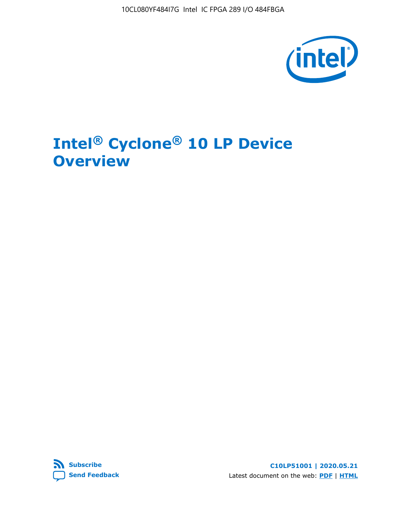10CL080YF484I7G Intel IC FPGA 289 I/O 484FBGA



# **Intel® Cyclone® 10 LP Device Overview**



**C10LP51001 | 2020.05.21** Latest document on the web: **[PDF](https://www.intel.com/content/dam/www/programmable/us/en/pdfs/literature/hb/cyclone-10/c10lp-51001.pdf)** | **[HTML](https://www.intel.com/content/www/us/en/programmable/documentation/hci1490246873896.html)**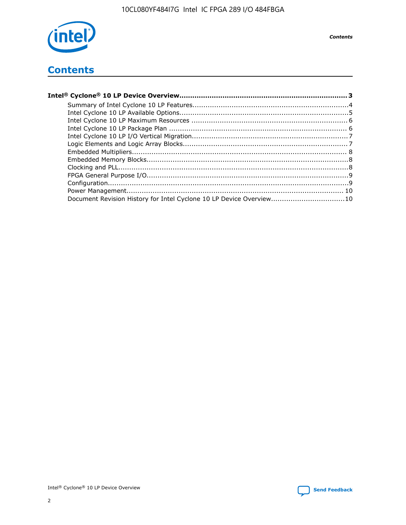

**Contents** 

# **Contents**

| Document Revision History for Intel Cyclone 10 LP Device Overview10 |  |
|---------------------------------------------------------------------|--|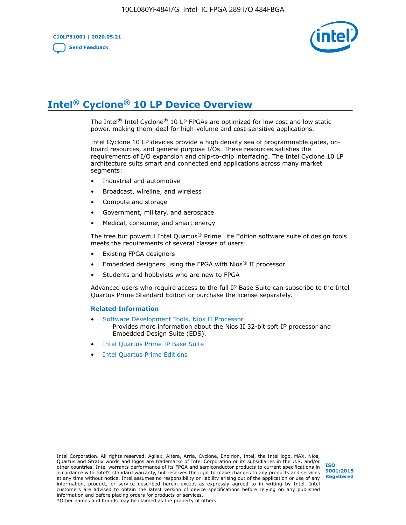**C10LP51001 | 2020.05.21 [Send Feedback](mailto:FPGAtechdocfeedback@intel.com?subject=Feedback%20on%20Intel%20Cyclone%2010%20LP%20Device%20Overview%20(C10LP51001%202020.05.21)&body=We%20appreciate%20your%20feedback.%20In%20your%20comments,%20also%20specify%20the%20page%20number%20or%20paragraph.%20Thank%20you.)**



## **Intel® Cyclone® 10 LP Device Overview**

The Intel® Intel Cyclone® 10 LP FPGAs are optimized for low cost and low static power, making them ideal for high-volume and cost-sensitive applications.

Intel Cyclone 10 LP devices provide a high density sea of programmable gates, onboard resources, and general purpose I/Os. These resources satisfies the requirements of I/O expansion and chip-to-chip interfacing. The Intel Cyclone 10 LP architecture suits smart and connected end applications across many market segments:

- Industrial and automotive
- Broadcast, wireline, and wireless
- Compute and storage
- Government, military, and aerospace
- Medical, consumer, and smart energy

The free but powerful Intel Quartus® Prime Lite Edition software suite of design tools meets the requirements of several classes of users:

- Existing FPGA designers
- Embedded designers using the FPGA with Nios® II processor
- Students and hobbyists who are new to FPGA

Advanced users who require access to the full IP Base Suite can subscribe to the Intel Quartus Prime Standard Edition or purchase the license separately.

#### **Related Information**

- [Software Development Tools, Nios II Processor](https://www.altera.com/products/processors/design-tools.html) Provides more information about the Nios II 32-bit soft IP processor and Embedded Design Suite (EDS).
- [Intel Quartus Prime IP Base Suite](https://www.altera.com/products/intellectual-property/design/ip-base-suite.html)
- **[Intel Quartus Prime Editions](https://www.altera.com/products/design-software/fpga-design/quartus-prime/download.html)**

Intel Corporation. All rights reserved. Agilex, Altera, Arria, Cyclone, Enpirion, Intel, the Intel logo, MAX, Nios, Quartus and Stratix words and logos are trademarks of Intel Corporation or its subsidiaries in the U.S. and/or other countries. Intel warrants performance of its FPGA and semiconductor products to current specifications in accordance with Intel's standard warranty, but reserves the right to make changes to any products and services at any time without notice. Intel assumes no responsibility or liability arising out of the application or use of any information, product, or service described herein except as expressly agreed to in writing by Intel. Intel customers are advised to obtain the latest version of device specifications before relying on any published information and before placing orders for products or services.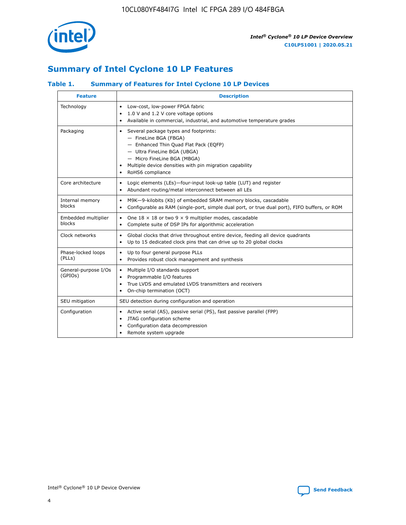

## **Summary of Intel Cyclone 10 LP Features**

### **Table 1. Summary of Features for Intel Cyclone 10 LP Devices**

| <b>Feature</b>                  | <b>Description</b>                                                                                                                                                                                                                                        |
|---------------------------------|-----------------------------------------------------------------------------------------------------------------------------------------------------------------------------------------------------------------------------------------------------------|
| Technology                      | Low-cost, low-power FPGA fabric<br>$\bullet$<br>1.0 V and 1.2 V core voltage options<br>Available in commercial, industrial, and automotive temperature grades                                                                                            |
| Packaging                       | Several package types and footprints:<br>٠<br>- FineLine BGA (FBGA)<br>- Enhanced Thin Quad Flat Pack (EQFP)<br>- Ultra FineLine BGA (UBGA)<br>- Micro FineLine BGA (MBGA)<br>Multiple device densities with pin migration capability<br>RoHS6 compliance |
| Core architecture               | Logic elements (LEs)-four-input look-up table (LUT) and register<br>$\bullet$<br>Abundant routing/metal interconnect between all LEs<br>٠                                                                                                                 |
| Internal memory<br>blocks       | M9K-9-kilobits (Kb) of embedded SRAM memory blocks, cascadable<br>$\bullet$<br>Configurable as RAM (single-port, simple dual port, or true dual port), FIFO buffers, or ROM<br>٠                                                                          |
| Embedded multiplier<br>blocks   | One $18 \times 18$ or two 9 $\times$ 9 multiplier modes, cascadable<br>$\bullet$<br>Complete suite of DSP IPs for algorithmic acceleration<br>$\bullet$                                                                                                   |
| Clock networks                  | Global clocks that drive throughout entire device, feeding all device quadrants<br>٠<br>Up to 15 dedicated clock pins that can drive up to 20 global clocks<br>٠                                                                                          |
| Phase-locked loops<br>(PLLs)    | Up to four general purpose PLLs<br>٠<br>Provides robust clock management and synthesis<br>$\bullet$                                                                                                                                                       |
| General-purpose I/Os<br>(GPIOs) | Multiple I/O standards support<br>$\bullet$<br>Programmable I/O features<br>$\bullet$<br>True LVDS and emulated LVDS transmitters and receivers<br>٠<br>On-chip termination (OCT)<br>٠                                                                    |
| SEU mitigation                  | SEU detection during configuration and operation                                                                                                                                                                                                          |
| Configuration                   | Active serial (AS), passive serial (PS), fast passive parallel (FPP)<br>٠<br>JTAG configuration scheme<br>$\bullet$<br>Configuration data decompression<br>Remote system upgrade<br>٠                                                                     |

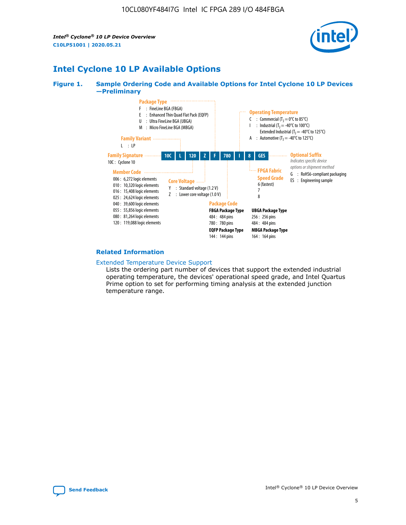*Intel® Cyclone® 10 LP Device Overview* **C10LP51001 | 2020.05.21**



## **Intel Cyclone 10 LP Available Options**

#### **Figure 1. Sample Ordering Code and Available Options for Intel Cyclone 10 LP Devices —Preliminary**



#### **Related Information**

#### [Extended Temperature Device Support](https://www.intel.com/content/www/us/en/products/programmable/temperature.html)

Lists the ordering part number of devices that support the extended industrial operating temperature, the devices' operational speed grade, and Intel Quartus Prime option to set for performing timing analysis at the extended junction temperature range.

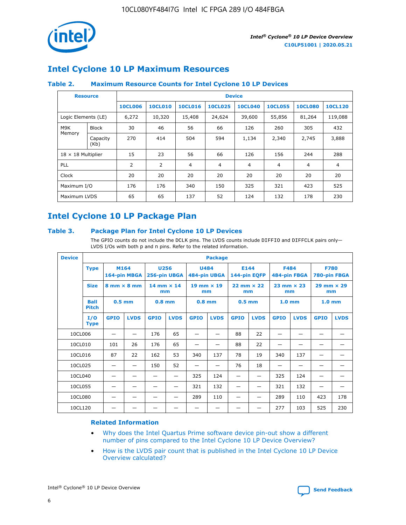

## **Intel Cyclone 10 LP Maximum Resources**

#### **Table 2. Maximum Resource Counts for Intel Cyclone 10 LP Devices**

|                           | <b>Resource</b>  | <b>Device</b>  |                |                |                |                |                |                |                |
|---------------------------|------------------|----------------|----------------|----------------|----------------|----------------|----------------|----------------|----------------|
|                           |                  | <b>10CL006</b> | <b>10CL010</b> | <b>10CL016</b> | <b>10CL025</b> | <b>10CL040</b> | <b>10CL055</b> | <b>10CL080</b> | <b>10CL120</b> |
| Logic Elements (LE)       |                  | 6,272          | 10,320         | 15,408         | 24,624         | 39,600         | 55,856         | 81,264         | 119,088        |
| M9K                       | <b>Block</b>     | 30             | 46             | 56             | 66             | 126            | 260            | 305            | 432            |
| Memory                    | Capacity<br>(Kb) | 270            | 414            | 504            | 594            | 1,134          | 2,340          | 2,745          | 3,888          |
| $18 \times 18$ Multiplier |                  | 15             | 23             | 56             | 66             | 126            | 156            | 244            | 288            |
| <b>PLL</b>                |                  | 2              | 2              | 4              | 4              | $\overline{4}$ | 4              | $\overline{4}$ | 4              |
| Clock                     |                  | 20             | 20             | 20             | 20             | 20             | 20             | 20             | 20             |
| Maximum I/O               |                  | 176            | 176            | 340            | 150            | 325            | 321            | 423            | 525            |
| Maximum LVDS              |                  | 65             | 65             | 137            | 52             | 124            | 132            | 178            | 230            |

## **Intel Cyclone 10 LP Package Plan**

#### **Table 3. Package Plan for Intel Cyclone 10 LP Devices**

The GPIO counts do not include the DCLK pins. The LVDS counts include DIFFIO and DIFFCLK pairs only-LVDS I/Os with both p and n pins. Refer to the related information.

| <b>Device</b> |                                                   | <b>Package</b> |                                                        |             |                             |                           |                      |                           |             |                           |                             |                   |             |
|---------------|---------------------------------------------------|----------------|--------------------------------------------------------|-------------|-----------------------------|---------------------------|----------------------|---------------------------|-------------|---------------------------|-----------------------------|-------------------|-------------|
|               | M164<br><b>Type</b><br>164-pin MBGA               |                | 256-pin UBGA                                           | <b>U256</b> | <b>U484</b><br>484-pin UBGA |                           | E144<br>144-pin EQFP |                           | <b>F484</b> | 484-pin FBGA              | <b>F780</b><br>780-pin FBGA |                   |             |
|               | <b>Size</b><br>$8 \text{ mm} \times 8 \text{ mm}$ |                | $14$ mm $\times$ 14<br>$19$ mm $\times$ 19<br>mm<br>mm |             |                             | $22$ mm $\times$ 22<br>mm |                      | $23$ mm $\times$ 23<br>mm |             | $29$ mm $\times$ 29<br>mm |                             |                   |             |
|               | <b>Ball</b><br><b>Pitch</b>                       | $0.5$ mm       |                                                        | $0.8$ mm    |                             | $0.8$ mm                  |                      | $0.5$ mm                  |             | 1.0 <sub>mm</sub>         |                             | 1.0 <sub>mm</sub> |             |
|               | I/O<br><b>Type</b>                                | <b>GPIO</b>    | <b>LVDS</b>                                            | <b>GPIO</b> | <b>LVDS</b>                 | <b>GPIO</b>               | <b>LVDS</b>          | <b>GPIO</b>               | <b>LVDS</b> | <b>GPIO</b>               | <b>LVDS</b>                 | <b>GPIO</b>       | <b>LVDS</b> |
| 10CL006       |                                                   |                |                                                        | 176         | 65                          |                           |                      | 88                        | 22          |                           |                             |                   |             |
| 10CL010       |                                                   | 101            | 26                                                     | 176         | 65                          |                           |                      | 88                        | 22          |                           |                             |                   |             |
| 10CL016       |                                                   | 87             | 22                                                     | 162         | 53                          | 340                       | 137                  | 78                        | 19          | 340                       | 137                         |                   |             |
| 10CL025       |                                                   | —              | —                                                      | 150         | 52                          | —                         |                      | 76                        | 18          | -                         | —                           |                   |             |
| 10CL040       |                                                   |                |                                                        |             |                             | 325                       | 124                  |                           |             | 325                       | 124                         |                   |             |
| 10CL055       |                                                   |                |                                                        |             |                             | 321                       | 132                  |                           |             | 321                       | 132                         |                   |             |
| 10CL080       |                                                   |                |                                                        |             |                             | 289                       | 110                  |                           |             | 289                       | 110                         | 423               | 178         |
| 10CL120       |                                                   |                |                                                        |             |                             |                           |                      |                           |             | 277                       | 103                         | 525               | 230         |

#### **Related Information**

- [Why does the Intel Quartus Prime software device pin-out show a different](https://www.intel.com/content/altera-www/global/en_us/index/support/support-resources/knowledge-base/component/2020/why-does-intel--quartus--device-pinout-pin-count-shows-a-differe0.html) [number of pins compared to the Intel Cyclone 10 LP Device Overview?](https://www.intel.com/content/altera-www/global/en_us/index/support/support-resources/knowledge-base/component/2020/why-does-intel--quartus--device-pinout-pin-count-shows-a-differe0.html)
- [How is the LVDS pair count that is published in the Intel Cyclone 10 LP Device](https://www.intel.com/content/altera-www/global/en_us/index/support/support-resources/knowledge-base/component/2020/how-is-the-lvds-pair-count-in-intel--cyclone--10-device-overview.html) [Overview calculated?](https://www.intel.com/content/altera-www/global/en_us/index/support/support-resources/knowledge-base/component/2020/how-is-the-lvds-pair-count-in-intel--cyclone--10-device-overview.html)



Intel<sup>®</sup> Cyclone<sup>®</sup> 10 LP Device Overview **[Send Feedback](mailto:FPGAtechdocfeedback@intel.com?subject=Feedback%20on%20Intel%20Cyclone%2010%20LP%20Device%20Overview%20(C10LP51001%202020.05.21)&body=We%20appreciate%20your%20feedback.%20In%20your%20comments,%20also%20specify%20the%20page%20number%20or%20paragraph.%20Thank%20you.)** Send Feedback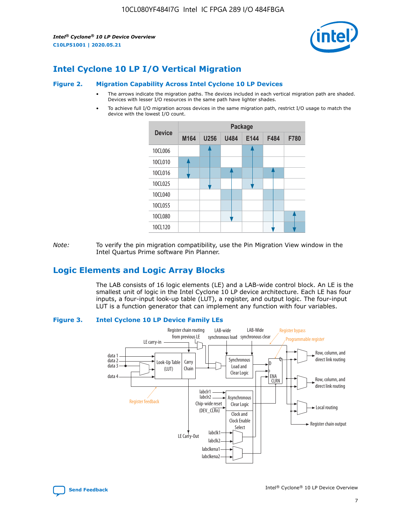*Intel® Cyclone® 10 LP Device Overview* **C10LP51001 | 2020.05.21**



## **Intel Cyclone 10 LP I/O Vertical Migration**

#### **Figure 2. Migration Capability Across Intel Cyclone 10 LP Devices**

- The arrows indicate the migration paths. The devices included in each vertical migration path are shaded. Devices with lesser I/O resources in the same path have lighter shades.
- To achieve full I/O migration across devices in the same migration path, restrict I/O usage to match the device with the lowest I/O count.



*Note:* To verify the pin migration compatibility, use the Pin Migration View window in the Intel Quartus Prime software Pin Planner.

## **Logic Elements and Logic Array Blocks**

The LAB consists of 16 logic elements (LE) and a LAB-wide control block. An LE is the smallest unit of logic in the Intel Cyclone 10 LP device architecture. Each LE has four inputs, a four-input look-up table (LUT), a register, and output logic. The four-input LUT is a function generator that can implement any function with four variables.

#### **Figure 3. Intel Cyclone 10 LP Device Family LEs**



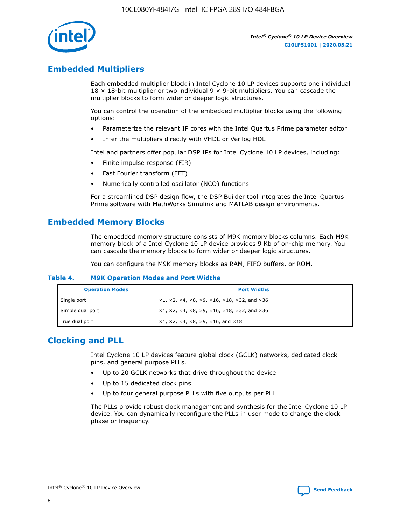

## **Embedded Multipliers**

Each embedded multiplier block in Intel Cyclone 10 LP devices supports one individual  $18 \times 18$ -bit multiplier or two individual 9  $\times$  9-bit multipliers. You can cascade the multiplier blocks to form wider or deeper logic structures.

You can control the operation of the embedded multiplier blocks using the following options:

- Parameterize the relevant IP cores with the Intel Quartus Prime parameter editor
- Infer the multipliers directly with VHDL or Verilog HDL

Intel and partners offer popular DSP IPs for Intel Cyclone 10 LP devices, including:

- Finite impulse response (FIR)
- Fast Fourier transform (FFT)
- Numerically controlled oscillator (NCO) functions

For a streamlined DSP design flow, the DSP Builder tool integrates the Intel Quartus Prime software with MathWorks Simulink and MATLAB design environments.

## **Embedded Memory Blocks**

The embedded memory structure consists of M9K memory blocks columns. Each M9K memory block of a Intel Cyclone 10 LP device provides 9 Kb of on-chip memory. You can cascade the memory blocks to form wider or deeper logic structures.

You can configure the M9K memory blocks as RAM, FIFO buffers, or ROM.

#### **Table 4. M9K Operation Modes and Port Widths**

| <b>Operation Modes</b> | <b>Port Widths</b>                           |
|------------------------|----------------------------------------------|
| Single port            | $x1, x2, x4, x8, x9, x16, x18, x32, and x36$ |
| Simple dual port       | $x1, x2, x4, x8, x9, x16, x18, x32, and x36$ |
| True dual port         | x1, x2, x4, x8, x9, x16, and x18             |

## **Clocking and PLL**

Intel Cyclone 10 LP devices feature global clock (GCLK) networks, dedicated clock pins, and general purpose PLLs.

- Up to 20 GCLK networks that drive throughout the device
- Up to 15 dedicated clock pins
- Up to four general purpose PLLs with five outputs per PLL

The PLLs provide robust clock management and synthesis for the Intel Cyclone 10 LP device. You can dynamically reconfigure the PLLs in user mode to change the clock phase or frequency.

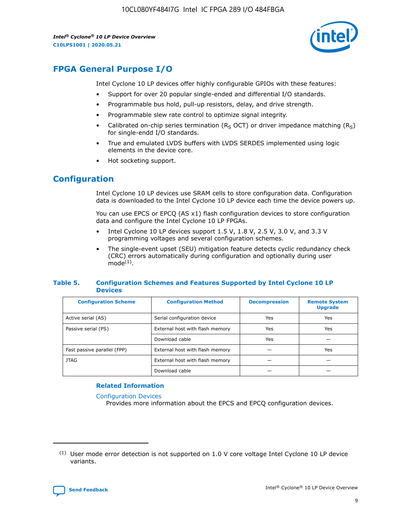10CL080YF484I7G Intel IC FPGA 289 I/O 484FBGA

*Intel® Cyclone® 10 LP Device Overview* **C10LP51001 | 2020.05.21**



## **FPGA General Purpose I/O**

Intel Cyclone 10 LP devices offer highly configurable GPIOs with these features:

- Support for over 20 popular single-ended and differential I/O standards.
- Programmable bus hold, pull-up resistors, delay, and drive strength.
- Programmable slew rate control to optimize signal integrity.
- Calibrated on-chip series termination ( $R<sub>S</sub>$  OCT) or driver impedance matching ( $R<sub>S</sub>$ ) for single-endd I/O standards.
- True and emulated LVDS buffers with LVDS SERDES implemented using logic elements in the device core.
- Hot socketing support.

## **Configuration**

Intel Cyclone 10 LP devices use SRAM cells to store configuration data. Configuration data is downloaded to the Intel Cyclone 10 LP device each time the device powers up.

You can use EPCS or EPCQ (AS x1) flash configuration devices to store configuration data and configure the Intel Cyclone 10 LP FPGAs.

- Intel Cyclone 10 LP devices support 1.5 V, 1.8 V, 2.5 V, 3.0 V, and 3.3 V programming voltages and several configuration schemes.
- The single-event upset (SEU) mitigation feature detects cyclic redundancy check (CRC) errors automatically during configuration and optionally during user  $mode<sup>(1)</sup>$ .

#### **Table 5. Configuration Schemes and Features Supported by Intel Cyclone 10 LP Devices**

| <b>Configuration Scheme</b> | <b>Configuration Method</b>     | <b>Decompression</b> | <b>Remote System</b><br><b>Upgrade</b> |  |
|-----------------------------|---------------------------------|----------------------|----------------------------------------|--|
| Active serial (AS)          | Serial configuration device     | Yes                  | Yes                                    |  |
| Passive serial (PS)         | External host with flash memory | Yes                  | Yes                                    |  |
|                             | Download cable                  | Yes                  |                                        |  |
| Fast passive parallel (FPP) | External host with flash memory |                      | Yes                                    |  |
| JTAG                        | External host with flash memory |                      |                                        |  |
|                             | Download cable                  |                      |                                        |  |

#### **Related Information**

[Configuration Devices](https://www.altera.com/products/configuration-devices/overview.html)

Provides more information about the EPCS and EPCQ configuration devices.

 $(1)$  User mode error detection is not supported on 1.0 V core voltage Intel Cyclone 10 LP device variants.

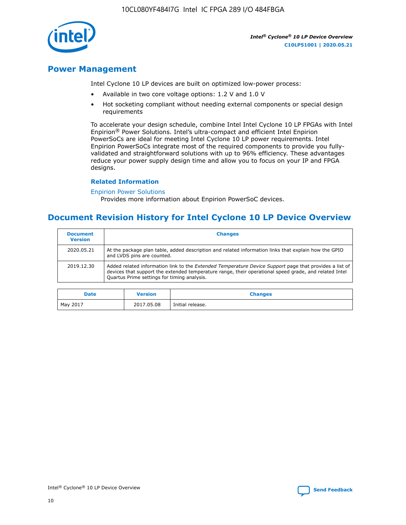

*Intel® Cyclone® 10 LP Device Overview* **C10LP51001 | 2020.05.21**

## **Power Management**

Intel Cyclone 10 LP devices are built on optimized low-power process:

- Available in two core voltage options: 1.2 V and 1.0 V
- Hot socketing compliant without needing external components or special design requirements

To accelerate your design schedule, combine Intel Intel Cyclone 10 LP FPGAs with Intel Enpirion® Power Solutions. Intel's ultra-compact and efficient Intel Enpirion PowerSoCs are ideal for meeting Intel Cyclone 10 LP power requirements. Intel Enpirion PowerSoCs integrate most of the required components to provide you fullyvalidated and straightforward solutions with up to 96% efficiency. These advantages reduce your power supply design time and allow you to focus on your IP and FPGA designs.

#### **Related Information**

#### [Enpirion Power Solutions](https://www.altera.com/products/power/devices.html)

Provides more information about Enpirion PowerSoC devices.

## **Document Revision History for Intel Cyclone 10 LP Device Overview**

| <b>Document</b><br><b>Version</b> | <b>Changes</b>                                                                                                                                                                                                                                                        |
|-----------------------------------|-----------------------------------------------------------------------------------------------------------------------------------------------------------------------------------------------------------------------------------------------------------------------|
| 2020.05.21                        | At the package plan table, added description and related information links that explain how the GPIO<br>and LVDS pins are counted.                                                                                                                                    |
| 2019.12.30                        | Added related information link to the <i>Extended Temperature Device Support</i> page that provides a list of<br>devices that support the extended temperature range, their operational speed grade, and related Intel<br>Quartus Prime settings for timing analysis. |

| <b>Date</b> | <b>Version</b> | <b>Changes</b>   |
|-------------|----------------|------------------|
| May 2017    | 2017.05.08     | Initial release. |